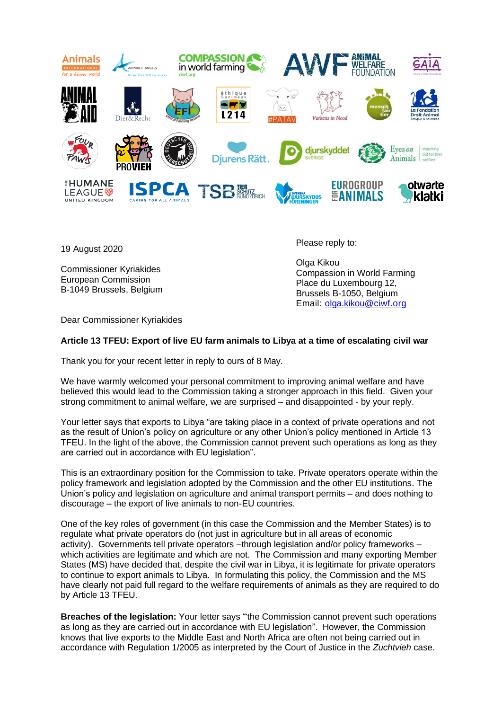

19 August 2020

Commissioner Kyriakides European Commission B-1049 Brussels, Belgium Please reply to:

Olga Kikou Compassion in World Farming Place du Luxembourg 12, Brussels B-1050, Belgium Email: [olga.kikou@ciwf.org](mailto:olga.kikou@ciwf.org)

Dear Commissioner Kyriakides

## **Article 13 TFEU: Export of live EU farm animals to Libya at a time of escalating civil war**

Thank you for your recent letter in reply to ours of 8 May.

We have warmly welcomed your personal commitment to improving animal welfare and have believed this would lead to the Commission taking a stronger approach in this field. Given your strong commitment to animal welfare, we are surprised – and disappointed - by your reply.

Your letter says that exports to Libya "are taking place in a context of private operations and not as the result of Union's policy on agriculture or any other Union's policy mentioned in Article 13 TFEU. In the light of the above, the Commission cannot prevent such operations as long as they are carried out in accordance with EU legislation".

This is an extraordinary position for the Commission to take. Private operators operate within the policy framework and legislation adopted by the Commission and the other EU institutions. The Union's policy and legislation on agriculture and animal transport permits – and does nothing to discourage – the export of live animals to non-EU countries.

One of the key roles of government (in this case the Commission and the Member States) is to regulate what private operators do (not just in agriculture but in all areas of economic activity). Governments tell private operators –through legislation and/or policy frameworks – which activities are legitimate and which are not. The Commission and many exporting Member States (MS) have decided that, despite the civil war in Libya, it is legitimate for private operators to continue to export animals to Libya. In formulating this policy, the Commission and the MS have clearly not paid full regard to the welfare requirements of animals as they are required to do by Article 13 TFEU.

**Breaches of the legislation:** Your letter says "the Commission cannot prevent such operations as long as they are carried out in accordance with EU legislation". However, the Commission knows that live exports to the Middle East and North Africa are often not being carried out in accordance with Regulation 1/2005 as interpreted by the Court of Justice in the *Zuchtvieh* case.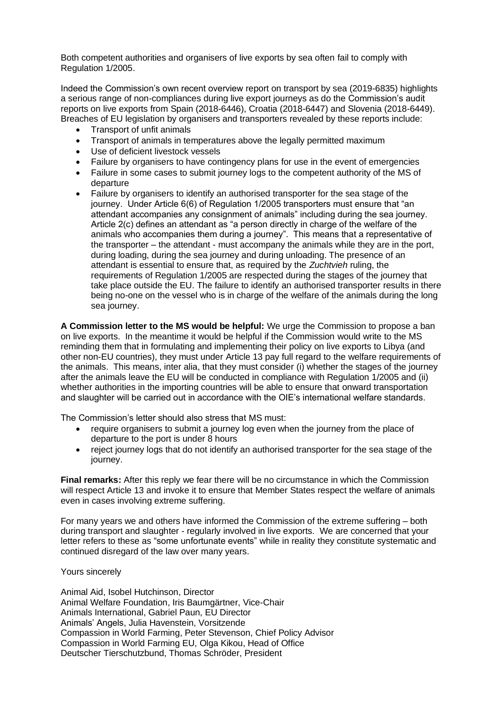Both competent authorities and organisers of live exports by sea often fail to comply with Regulation 1/2005.

Indeed the Commission's own recent overview report on transport by sea (2019-6835) highlights a serious range of non-compliances during live export journeys as do the Commission's audit reports on live exports from Spain (2018-6446), Croatia (2018-6447) and Slovenia (2018-6449). Breaches of EU legislation by organisers and transporters revealed by these reports include:

- Transport of unfit animals
- Transport of animals in temperatures above the legally permitted maximum
- Use of deficient livestock vessels
- Failure by organisers to have contingency plans for use in the event of emergencies
- Failure in some cases to submit journey logs to the competent authority of the MS of departure
- Failure by organisers to identify an authorised transporter for the sea stage of the journey. Under Article 6(6) of Regulation 1/2005 transporters must ensure that "an attendant accompanies any consignment of animals" including during the sea journey. Article 2(c) defines an attendant as "a person directly in charge of the welfare of the animals who accompanies them during a journey". This means that a representative of the transporter – the attendant - must accompany the animals while they are in the port, during loading, during the sea journey and during unloading. The presence of an attendant is essential to ensure that, as required by the *Zuchtvieh* ruling, the requirements of Regulation 1/2005 are respected during the stages of the journey that take place outside the EU. The failure to identify an authorised transporter results in there being no-one on the vessel who is in charge of the welfare of the animals during the long sea journey.

**A Commission letter to the MS would be helpful:** We urge the Commission to propose a ban on live exports. In the meantime it would be helpful if the Commission would write to the MS reminding them that in formulating and implementing their policy on live exports to Libya (and other non-EU countries), they must under Article 13 pay full regard to the welfare requirements of the animals. This means, inter alia, that they must consider (i) whether the stages of the journey after the animals leave the EU will be conducted in compliance with Regulation 1/2005 and (ii) whether authorities in the importing countries will be able to ensure that onward transportation and slaughter will be carried out in accordance with the OIE's international welfare standards.

The Commission's letter should also stress that MS must:

- require organisers to submit a journey log even when the journey from the place of departure to the port is under 8 hours
- reject journey logs that do not identify an authorised transporter for the sea stage of the journey.

**Final remarks:** After this reply we fear there will be no circumstance in which the Commission will respect Article 13 and invoke it to ensure that Member States respect the welfare of animals even in cases involving extreme suffering.

For many years we and others have informed the Commission of the extreme suffering – both during transport and slaughter - regularly involved in live exports. We are concerned that your letter refers to these as "some unfortunate events" while in reality they constitute systematic and continued disregard of the law over many years.

Yours sincerely

Animal Aid, Isobel Hutchinson, Director Animal Welfare Foundation, Iris Baumgärtner, Vice-Chair Animals International, Gabriel Paun, EU Director Animals' Angels, Julia Havenstein, Vorsitzende Compassion in World Farming, Peter Stevenson, Chief Policy Advisor Compassion in World Farming EU, Olga Kikou, Head of Office Deutscher Tierschutzbund, Thomas Schröder, President